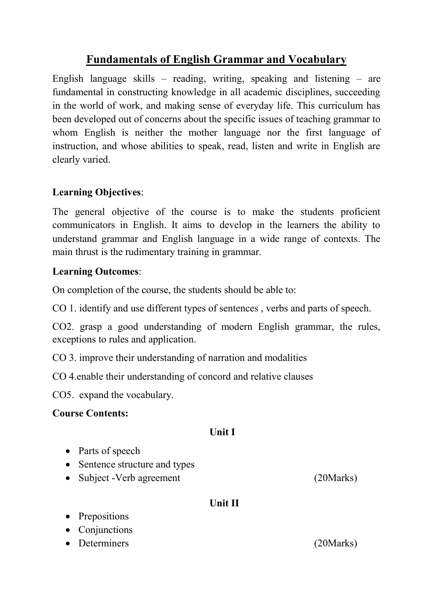# **Fundamentals of English Grammar and Vocabulary**

English language skills – reading, writing, speaking and listening – are fundamental in constructing knowledge in all academic disciplines, succeeding in the world of work, and making sense of everyday life. This curriculum has been developed out of concerns about the specific issues of teaching grammar to whom English is neither the mother language nor the first language of instruction, and whose abilities to speak, read, listen and write in English are clearly varied.

## **Learning Objectives**:

The general objective of the course is to make the students proficient communicators in English. It aims to develop in the learners the ability to understand grammar and English language in a wide range of contexts. The main thrust is the rudimentary training in grammar.

## **Learning Outcomes**:

On completion of the course, the students should be able to:

CO 1. identify and use different types of sentences , verbs and parts of speech.

CO2. grasp a good understanding of modern English grammar, the rules, exceptions to rules and application.

CO 3. improve their understanding of narration and modalities

CO 4.enable their understanding of concord and relative clauses

CO5. expand the vocabulary.

## **Course Contents:**

## **Unit I**

- Parts of speech
- Sentence structure and types
- Subject -Verb agreement (20Marks)

# **Unit II**

• Prepositions

• Conjunctions

• Determiners (20Marks)